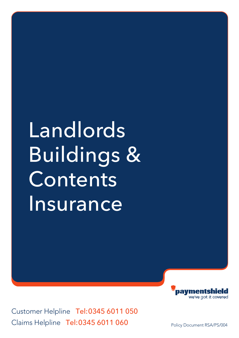# Landlords Buildings & **Contents Insurance**

Customer Helpline Tel:0345 6011 050 Claims Helpline Tel:0345 6011 060

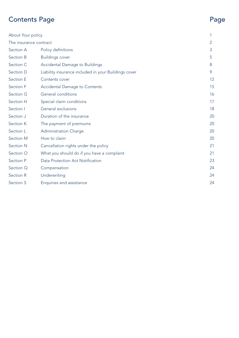## Contents Page Page

| <b>About Your policy</b> |                                                      | 1             |
|--------------------------|------------------------------------------------------|---------------|
| The insurance contract   |                                                      | $\mathcal{P}$ |
| Section A                | Policy definitions                                   | 3             |
| Section B                | <b>Buildings cover</b>                               | 5             |
| Section C                | Accidental Damage to Buildings                       | 8             |
| Section D                | Liability insurance included in your Buildings cover | 9             |
| <b>Section E</b>         | Contents cover                                       | 12            |
| Section F                | <b>Accidental Damage to Contents</b>                 | 15            |
| <b>Section G</b>         | General conditions                                   | 16            |
| Section H                | Special claim conditions                             | 17            |
| Section I                | General exclusions                                   | 18            |
| Section J                | Duration of the insurance                            | 20            |
| Section K                | The payment of premiums                              | 20            |
| Section L                | Administration Charge                                | 20            |
| Section M                | How to claim                                         | 20            |
| <b>Section N</b>         | Cancellation rights under the policy                 | 21            |
| Section O                | What you should do if you have a complaint           | 21            |
| Section P                | Data Protection Act Notification                     | 23            |
| Section Q                | Compensation                                         | 24            |
| Section R                | Underwriting                                         | 24            |
| <b>Section S</b>         | Enquiries and assistance                             | 24            |
|                          |                                                      |               |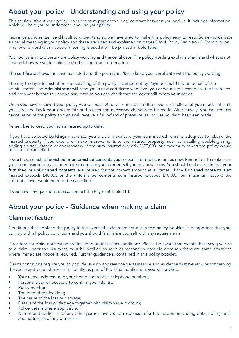## About your policy - Understanding and using your policy

This section 'About your policy' does not form part of the legal contract between you and us. It includes information which will help you to understand and use your policy.

Insurance policies can be difficult to understand so we have tried to make this policy easy to read. Some words have a special meaning in your policy and these are listed and explained on pages 3 to 4 'Policy Definitions'. From now on, whenever a word with a special meaning is used it will be printed in **bold type.** 

Your policy is in two parts - the policy wording and the certificate. The policy wording explains what is and what is not covered, how we settle claims and other important information.

The certificate shows the cover selected and the premium. Please keep your certificate with the policy wording.

The day to day administration and servicing of the policy is carried out by Paymentshield Ltd on behalf of the administrator. The Administrator will send you a new certificate whenever you or we make a change to the insurance and each year before the anniversary date so you can check that the cover still meets your needs.

Once you have received your policy you will have 30 days to make sure the cover is exactly what you need. If it isn't, you can send back your documents and ask for the necessary changes to be made. Alternatively, you can request cancellation of the policy and you will receive a full refund of premium, as long as no claim has been made.

Remember to keep your sums insured up to date.

If you have selected buildings insurance, you should make sure your sum insured remains adequate to rebuild the insured property if you extend or make improvements to the insured property, such as installing double-glazing, adding a fitted kitchen or conservatory. If the sum insured exceeds £300,000 (our maximum cover) the policy would need to be cancelled.

If you have selected furnished or unfurnished contents your cover is for replacement as new. Remember to make sure your sum insured remains adequate to replace your contents if you buy new items. You should make certain that your furnished or unfurnished contents are insured for the correct amount at all times. If the furnished contents sum insured exceeds £40,000 or the unfurnished contents sum insured exceeds £10,000 (our maximum covers) the contents cover would need to be cancelled.

If you have any questions please contact the Paymentshield Ltd.

## About your policy - Guidance when making a claim

### Claim notification

Conditions that apply to the policy in the event of a claim are set out in this policy booklet. It is important that you comply with all **policy** conditions and you should familiarise yourself with any requirements.

Directions for claim notification are included under claims conditions. Please be aware that events that may give rise to a claim under the insurance must be notified as soon as reasonably possible although there are some situations where immediate notice is required. Further quidance is contained in this **policy** booklet.

Claims conditions require you to provide us with any reasonable assistance and evidence that we require concerning the cause and value of any claim. Ideally, as part of the initial notification, you will provide:

- Your name, address, and your home and mobile telephone numbers;
- Personal details necessary to confirm your identity;
- Policy number;
- The date of the incident;
- The cause of the loss or damage;
- Details of the loss or damage together with claim value if known;
- Police details where applicable;
- Names and addresses of any other parties involved or responsible for the incident (including details of injuries) and addresses of any witnesses.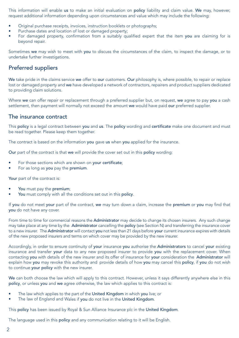This information will enable us to make an initial evaluation on policy liability and claim value. We may, however, request additional information depending upon circumstances and value which may include the following:

- Original purchase receipts, invoices, instruction booklets or photographs;
- Purchase dates and location of lost or damaged property;
- For damaged property, confirmation from a suitably qualified expert that the item you are claiming for is beyond repair.

Sometimes we may wish to meet with you to discuss the circumstances of the claim, to inspect the damage, or to undertake further investigations.

#### Preferred suppliers

We take pride in the claims service we offer to our customers. Our philosophy is, where possible, to repair or replace lost or damaged property and we have developed a network of contractors, repairers and product suppliers dedicated to providing claim solutions.

Where we can offer repair or replacement through a preferred supplier but, on request, we agree to pay you a cash settlement, then payment will normally not exceed the amount we would have paid our preferred supplier.

#### The insurance contract

This policy is a legal contract between you and us. The policy wording and certificate make one document and must be read together. Please keep them together.

The contract is based on the information you gave us when you applied for the insurance.

Our part of the contract is that we will provide the cover set out in this policy wording:

- For those sections which are shown on your certificate;
- For as long as you pay the premium.

Your part of the contract is:

- You must pay the premium;
- You must comply with all the conditions set out in this policy.

If you do not meet your part of the contract, we may turn down a claim, increase the premium or you may find that you do not have any cover.

From time to time for commercial reasons the Administrator may decide to change its chosen insurers. Any such change may take place at any time by the Administrator cancelling the policy (see Section N) and transferring the insurance cover to a new insurer. The Administrator will contact you not less than 21 days before your current insurance expires with details of the new proposed insurers and terms on which cover may be provided by the new insurer.

Accordingly, in order to ensure continuity of your insurance you authorise the Administrators to cancel your existing insurance and transfer your data to any new proposed insurer to provide you with the replacement cover. When contacting you with details of the new insurer and its offer of insurance for your consideration the Administrator will explain how you may revoke this authority and provide details of how you may cancel this policy, if you do not wish to continue your policy with the new insurer.

We can both choose the law which will apply to this contract. However, unless it says differently anywhere else in this policy, or unless you and we agree otherwise, the law which applies to this contract is:

- The law which applies to the part of the United Kingdom in which you live; or
- The law of England and Wales if you do not live in the United Kingdom.

This policy has been issued by Royal & Sun Alliance Insurance plc in the United Kingdom.

The language used in this policy and any communication relating to it will be English.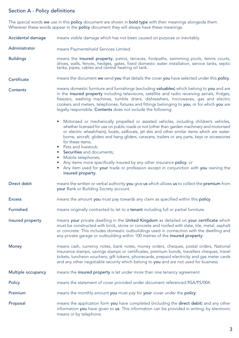#### Section A - Policy definitions

The special words we use in this policy document are shown in bold type with their meanings alongside them. Wherever these words appear in the **policy** document they will always have these meanings.

- Accidental damage means visible damage which has not been caused on purpose or inevitably.
- Administrator means Paymentshield Services Limited.
- Buildings means the insured property, patios, terraces, footpaths, swimming pools, tennis courts, drives, walls, fences, hedges, gates, fixed domestic water installation, service tanks, septic tanks, pipes, cables and central heating oil tank.
- Certificate means the document we send you that details the cover you have selected under this policy.

**Contents** means domestic furniture and furnishings (excluding valuables) which belong to you and are in the insured property including televisions, satellite and radio receiving aerials, fridges, freezers, washing machines, tumble driers, dishwashers, microwaves, gas and electric cookers and meters, telephones, fixtures and fittings belonging to you, or for which you are legally responsible. Contents does not include the following:

- Motorised or mechanically propelled or assisted vehicles, including children's vehicles, whether licensed for use on public roads or not (other than garden machinery and motorised or electric wheelchairs), boats, sailboats, jet skis and other similar items which are waterborne, aircraft, gliders and hang gliders, caravans, trailers or any parts, keys or accessories for these items;
- Pets and livestock:
- Securities and documents;
- Mobile telephones:
- Any items more specifically insured by any other insurance policy; or
- Any item used for your trade or profession except in conjunction with you owning the insured property.
- Direct debit means the written or verbal authority you give us which allows us to collect the premium from your Bank or Building Society account.
- Excess means the amount you must pay towards any claim as specified within this policy.
- Furnished means originally contracted to let to a tenant including full or partial furniture.

Insured property means your private dwelling in the United Kingdom as detailed on your certificate which must be constructed with brick, stone or concrete and roofed with slate, tile, metal, asphalt or concrete. This includes domestic outbuildings used in connection with the dwelling and any private garage or outbuilding within 100 metres of the insured property.

- Money means cash, currency notes, bank notes, money orders, cheques, postal orders, National Insurance stamps, savings stamps or certificates, premium bonds, travellers cheques, travel tickets, luncheon vouchers, gift tokens, phonecards, prepaid electricity and gas meter cards and any other negotiable security which belong to **you** and are not used for business.
- Multiple occupancy means the insured property is let under more than one tenancy agreement.
- Policy means the statement of cover provided under document referenced RSA/PS/004.
- Premium means the monthly amount you must pay for your cover under the policy.
- Proposal means the application form you have completed (including the direct debit) and any other information you have given to us. This information can be provided in writing, by electronic means or by telephone.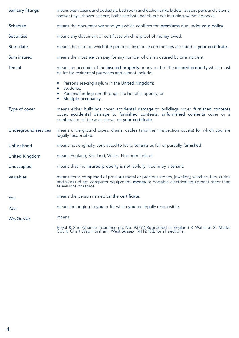| Sanitary fittings           | means wash basins and pedestals, bathroom and kitchen sinks, bidets, lavatory pans and cisterns,<br>shower trays, shower screens, baths and bath panels but not including swimming pools.                                       |
|-----------------------------|---------------------------------------------------------------------------------------------------------------------------------------------------------------------------------------------------------------------------------|
| Schedule                    | means the document we send you which confirms the premiums due under your policy.                                                                                                                                               |
| <b>Securities</b>           | means any document or certificate which is proof of money owed.                                                                                                                                                                 |
| <b>Start date</b>           | means the date on which the period of insurance commences as stated in your certificate.                                                                                                                                        |
| Sum insured                 | means the most we can pay for any number of claims caused by one incident.                                                                                                                                                      |
| <b>Tenant</b>               | means an occupier of the insured property or any part of the insured property which must<br>be let for residential purposes and cannot include:                                                                                 |
|                             | • Persons seeking asylum in the United Kingdom;<br>• Students:<br>• Persons funding rent through the benefits agency; or<br>Multiple occupancy.                                                                                 |
| Type of cover               | means either buildings cover, accidental damage to buildings cover, furnished contents<br>cover, accidental damage to furnished contents, unfurnished contents cover or a<br>combination of these as shown on your certificate. |
| <b>Underground services</b> | means underground pipes, drains, cables (and their inspection covers) for which you are<br>legally responsible.                                                                                                                 |
| Unfurnished                 | means not originally contracted to let to tenants as full or partially furnished.                                                                                                                                               |
| <b>United Kingdom</b>       | means England, Scotland, Wales, Northern Ireland.                                                                                                                                                                               |
| Unoccupied                  | means that the insured property is not lawfully lived in by a tenant.                                                                                                                                                           |
| Valuables                   | means items composed of precious metal or precious stones, jewellery, watches, furs, curios<br>and works of art, computer equipment, money or portable electrical equipment other than<br>televisions or radios.                |
| You                         | means the person named on the certificate.                                                                                                                                                                                      |
| Your                        | means belonging to you or for which you are legally responsible.                                                                                                                                                                |
| We/Our/Us                   | means:                                                                                                                                                                                                                          |
|                             | Royal & Sun Alliance Insurance plc No. 93792 Registered in England & Wales at St Mark's Court, Chart Way, Horsham, West Sussex, RH12 1XL for all sections.                                                                      |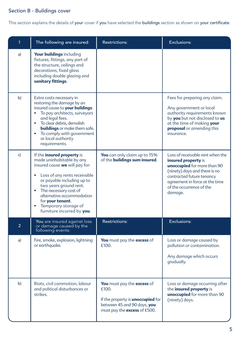## Section B - Buildings cover

This section explains the details of your cover if you have selected the buildings section as shown on your certificate.

| $\mathbf{1}$   | The following are insured:                                                                                                                                                                                                                                                                                                            | <b>Restrictions:</b>                                                                                                                           | Exclusions:                                                                                                                                                                                                                   |
|----------------|---------------------------------------------------------------------------------------------------------------------------------------------------------------------------------------------------------------------------------------------------------------------------------------------------------------------------------------|------------------------------------------------------------------------------------------------------------------------------------------------|-------------------------------------------------------------------------------------------------------------------------------------------------------------------------------------------------------------------------------|
| a)             | Your buildings including<br>fixtures, fittings, any part of<br>the structure, ceilings and<br>decorations, fixed glass<br>including double glazing and<br>sanitary fittings.                                                                                                                                                          |                                                                                                                                                |                                                                                                                                                                                                                               |
| b)             | Extra costs necessary in<br>restoring the damage by an<br>insured cause to your buildings:<br>To pay architects, surveyors<br>and legal fees.<br>To clear debris, demolish<br><b>buildings</b> or make them safe.<br>To comply with government<br>$\bullet$<br>or local authority<br>requirements.                                    |                                                                                                                                                | Fees for preparing any claim.<br>Any government or local<br>authority requirements known<br>by you but not disclosed to us<br>at the time of making your<br>proposal or amending this<br>insurance.                           |
| $\mathsf{c}$   | If the <i>insured</i> property is<br>made uninhabitable by any<br>insured cause we will pay for:<br>Loss of any rents receivable<br>or payable including up to<br>two years ground rent.<br>The necessary cost of<br>$\bullet$<br>alternative accommodation<br>for your tenant.<br>Temporary storage of<br>furniture incurred by you. | You can only claim up to 15%<br>of the <b>buildings sum insured</b> .                                                                          | Loss of receivable rent when the<br>insured property is<br>unoccupied for more than 90<br>(ninety) days and there is no<br>contracted future tenancy<br>agreement in force at the time<br>of the occurrence of the<br>damage. |
| $\overline{2}$ | You are insured against loss<br>or damage caused by the<br>following events:                                                                                                                                                                                                                                                          | <b>Restrictions:</b>                                                                                                                           | Exclusions:                                                                                                                                                                                                                   |
| a)             | Fire, smoke, explosion, lightning<br>or earthquake.                                                                                                                                                                                                                                                                                   | You must pay the excess of<br>£100.                                                                                                            | Loss or damage caused by<br>pollution or contamination.<br>Any damage which occurs<br>gradually.                                                                                                                              |
| b)             | Riots, civil commotion, labour<br>and political disturbances or<br>strikes.                                                                                                                                                                                                                                                           | You must pay the excess of<br>£100.<br>If the property is <b>unoccupied</b> for<br>between 45 and 90 days, you<br>must pay the excess of £500. | Loss or damage occurring after<br>the insured property is<br>unoccupied for more than 90<br>(ninety) days.                                                                                                                    |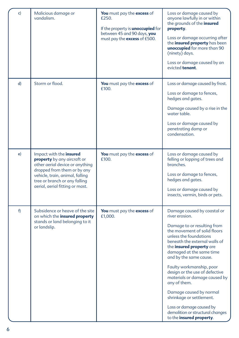| c) | Malicious damage or<br>vandalism.                                                                                                                                                                                               | You must pay the excess of<br>£250.<br>If the property is <b>unoccupied</b> for<br>between 45 and 90 days, you<br>must pay the excess of £500. | Loss or damage caused by<br>anyone lawfully in or within<br>the grounds of the <b>insured</b><br>property.<br>Loss or damage occurring after<br>the insured property has been<br>unoccupied for more than 90<br>(ninety) days.<br>Loss or damage caused by an<br>evicted tenant.                                                                                                                                                                                                                                                   |
|----|---------------------------------------------------------------------------------------------------------------------------------------------------------------------------------------------------------------------------------|------------------------------------------------------------------------------------------------------------------------------------------------|------------------------------------------------------------------------------------------------------------------------------------------------------------------------------------------------------------------------------------------------------------------------------------------------------------------------------------------------------------------------------------------------------------------------------------------------------------------------------------------------------------------------------------|
| d) | Storm or flood.                                                                                                                                                                                                                 | You must pay the excess of<br>£100.                                                                                                            | Loss or damage caused by frost.<br>Loss or damage to fences,<br>hedges and gates.<br>Damage caused by a rise in the<br>water table.<br>Loss or damage caused by<br>penetrating damp or<br>condensation.                                                                                                                                                                                                                                                                                                                            |
| e) | Impact with the insured<br>property by any aircraft or<br>other aerial device or anything<br>dropped from them or by any<br>vehicle, train, animal, falling<br>tree or branch or any falling<br>aerial, aerial fitting or mast. | You must pay the excess of<br>f100                                                                                                             | Loss or damage caused by<br>felling or lopping of trees and<br>branches.<br>Loss or damage to fences,<br>hedges and gates.<br>Loss or damage caused by<br>insects, vermin, birds or pets.                                                                                                                                                                                                                                                                                                                                          |
| f) | Subsidence or heave of the site<br>on which the insured property<br>stands or land belonging to it<br>or landslip.                                                                                                              | You must pay the excess of<br>£1,000.                                                                                                          | Damage caused by coastal or<br>river erosion.<br>Damage to or resulting from<br>the movement of solid floors<br>unless the foundations<br>beneath the external walls of<br>the <b>insured property</b> are<br>damaged at the same time<br>and by the same cause.<br>Faulty workmanship, poor<br>design or the use of defective<br>materials or damage caused by<br>any of them.<br>Damage caused by normal<br>shrinkage or settlement.<br>Loss or damage caused by<br>demolition or structural changes<br>to the insured property. |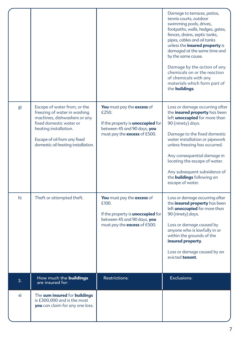|    |                                                                                                                                                                                                                        |                                                                                                                                                | Damage to terraces, patios,<br>tennis courts, outdoor<br>swimming pools, drives,<br>footpaths, walls, hedges, gates,<br>fences, drains, septic tanks,<br>pipes, cables and oil tanks<br>unless the <i>insured</i> property is<br>damaged at the same time and<br>by the same cause.<br>Damage by the action of any<br>chemicals on or the reaction<br>of chemicals with any<br>materials which form part of<br>the <b>buildings</b> . |
|----|------------------------------------------------------------------------------------------------------------------------------------------------------------------------------------------------------------------------|------------------------------------------------------------------------------------------------------------------------------------------------|---------------------------------------------------------------------------------------------------------------------------------------------------------------------------------------------------------------------------------------------------------------------------------------------------------------------------------------------------------------------------------------------------------------------------------------|
| g) | Escape of water from, or the<br>freezing of water in washing<br>machines, dishwashers or any<br>fixed domestic water or<br>heating installation.<br>Escape of oil from any fixed<br>domestic oil heating installation. | You must pay the excess of<br>£250.<br>If the property is <b>unoccupied</b> for<br>between 45 and 90 days, you<br>must pay the excess of £500. | Loss or damage occurring after<br>the insured property has been<br>left <i>unoccupied</i> for more than<br>90 (ninety) days.<br>Damage to the fixed domestic<br>water installation or pipework<br>unless freezing has occurred.<br>Any consequential damage in<br>locating the escape of water.<br>Any subsequent subsidence of<br>the <b>buildings</b> following an<br>escape of water.                                              |
| h) | Theft or attempted theft.                                                                                                                                                                                              | You must pay the excess of<br>£100.<br>If the property is <b>unoccupied</b> for<br>between 45 and 90 days, you<br>must pay the excess of £500. | Loss or damage occurring after<br>the <i>insured</i> property has been<br>left <b>unoccupied</b> for more than<br>90 (ninety) days.<br>Loss or damage caused by<br>anyone who is lawfully in or<br>within the grounds of the<br>insured property.<br>Loss or damage caused by an<br>evicted tenant.                                                                                                                                   |
| 3. | How much the <b>buildings</b><br>are insured for:                                                                                                                                                                      | Restrictions:                                                                                                                                  | Exclusions:                                                                                                                                                                                                                                                                                                                                                                                                                           |
| a) | The sum insured for buildings<br>is £300,000 and is the most<br>you can claim for any one loss.                                                                                                                        |                                                                                                                                                |                                                                                                                                                                                                                                                                                                                                                                                                                                       |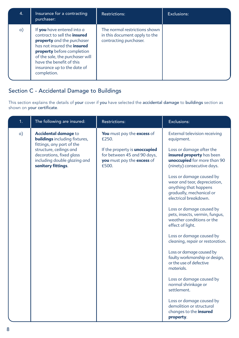| $\overline{4}$ . | Insurance for a contracting<br>purchaser:                                                                                                                                                                                                                                               | <b>Restrictions:</b>                                                                     | Exclusions: |
|------------------|-----------------------------------------------------------------------------------------------------------------------------------------------------------------------------------------------------------------------------------------------------------------------------------------|------------------------------------------------------------------------------------------|-------------|
| a)               | If you have entered into a<br>contract to sell the <b>insured</b><br>property and the purchaser<br>has not insured the <b>insured</b><br><b>property</b> before completion<br>of the sale, the purchaser will<br>have the benefit of this<br>insurance up to the date of<br>completion. | The normal restrictions shown<br>in this document apply to the<br>contracting purchaser. |             |

## Section C - Accidental Damage to Buildings

This section explains the details of your cover if you have selected the accidental damage to buildings section as shown on your certificate.

| 1. | The following are insured:                                                                                                             | <b>Restrictions:</b>                                                                                       | <b>Exclusions:</b>                                                                                                                     |
|----|----------------------------------------------------------------------------------------------------------------------------------------|------------------------------------------------------------------------------------------------------------|----------------------------------------------------------------------------------------------------------------------------------------|
| a) | Accidental damage to<br><b>buildings</b> including fixtures,                                                                           | You must pay the excess of<br>f250                                                                         | External television receiving<br>equipment.                                                                                            |
|    | fittings, any part of the<br>structure, ceilings and<br>decorations, fixed glass<br>including double glazing and<br>sanitary fittings. | If the property is <i>unoccupied</i><br>for between 45 and 90 days,<br>you must pay the excess of<br>£500. | Loss or damage after the<br>insured property has been<br>unoccupied for more than 90<br>(ninety) consecutive days.                     |
|    |                                                                                                                                        |                                                                                                            | Loss or damage caused by<br>wear and tear, depreciation,<br>anything that happens<br>gradually, mechanical or<br>electrical breakdown. |
|    |                                                                                                                                        |                                                                                                            | Loss or damage caused by<br>pets, insects, vermin, fungus,<br>weather conditions or the<br>effect of light.                            |
|    |                                                                                                                                        |                                                                                                            | Loss or damage caused by<br>cleaning, repair or restoration.                                                                           |
|    |                                                                                                                                        |                                                                                                            | Loss or damage caused by<br>faulty workmanship or design,<br>or the use of defective<br>materials.                                     |
|    |                                                                                                                                        |                                                                                                            | Loss or damage caused by<br>normal shrinkage or<br>settlement.                                                                         |
|    |                                                                                                                                        |                                                                                                            | Loss or damage caused by<br>demolition or structural<br>changes to the <i>insured</i><br>property.                                     |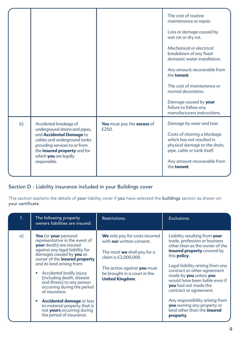|    |                                                                                                                                                                                     |                            | The cost of routine<br>maintenance or repair.<br>Loss or damage caused by                                                 |
|----|-------------------------------------------------------------------------------------------------------------------------------------------------------------------------------------|----------------------------|---------------------------------------------------------------------------------------------------------------------------|
|    |                                                                                                                                                                                     |                            | wet rot or dry rot.<br>Mechanical or electrical<br>breakdown of any fixed<br>domestic water installation.                 |
|    |                                                                                                                                                                                     |                            | Any amount recoverable from<br>the tenant.                                                                                |
|    |                                                                                                                                                                                     |                            | The cost of maintenance or<br>normal decoration.                                                                          |
|    |                                                                                                                                                                                     |                            | Damage caused by your<br>failure to follow any<br>manufacturers instructions.                                             |
| b) | Accidental breakage of                                                                                                                                                              | You must pay the excess of | Damage by wear and tear.                                                                                                  |
|    | underground drains and pipes,<br>and Accidental Damage to<br>cables and underground tanks<br>providing services to or from<br>the insured property and for<br>which you are legally | f250                       | Costs of clearing a blockage<br>which has not resulted in<br>physical damage to the drain,<br>pipe, cable or tank itself. |
|    | responsible.                                                                                                                                                                        |                            | Any amount recoverable from<br>the tenant.                                                                                |
|    |                                                                                                                                                                                     |                            |                                                                                                                           |

## Section D - Liability insurance included in your Buildings cover

This section explains the details of your liability cover if you have selected the buildings section as shown on your certificate.

| 1 <sub>1</sub> | The following property<br>owners liabilities are insured:                                                                                                                                                                                                                                                                                                                                                                                                                                                     | <b>Restrictions:</b>                                                                                                                                                                                               | Exclusions:                                                                                                                                                                                                                                                                                                                                                                                                                                                                |
|----------------|---------------------------------------------------------------------------------------------------------------------------------------------------------------------------------------------------------------------------------------------------------------------------------------------------------------------------------------------------------------------------------------------------------------------------------------------------------------------------------------------------------------|--------------------------------------------------------------------------------------------------------------------------------------------------------------------------------------------------------------------|----------------------------------------------------------------------------------------------------------------------------------------------------------------------------------------------------------------------------------------------------------------------------------------------------------------------------------------------------------------------------------------------------------------------------------------------------------------------------|
| $\alpha$ )     | You (or your personal<br>representative in the event of<br><b>your</b> death) are insured<br>against any legal liability for<br>damages caused by <b>you</b> as<br>owner of the insured property<br>and its land arising from:<br>Accidental bodily injury<br>۰<br>(including death, disease<br>and illness) to any person<br>occurring during the period<br>of insurance.<br><b>Accidental damage or loss</b><br>۰<br>to material property that is<br>not yours occurring during<br>the period of insurance. | We only pay for costs incurred<br>with our written consent.<br>The most <b>we</b> shall pay for a<br>claim is £2,000,000.<br>The action against you must<br>be brought in a court in the<br><b>United Kingdom.</b> | Liability resulting from your<br>trade, profession or business<br>other than as the owner of the<br><b>insured property</b> covered by<br>this <b>policy</b> .<br>Legal liability arising from any<br>contract or other agreement<br>made by you unless you<br>would have been liable even if<br><b>vou</b> had not made the<br>contract or agreement.<br>Any responsibility arising from<br>you owning any property or<br>land other than the <i>insured</i><br>property. |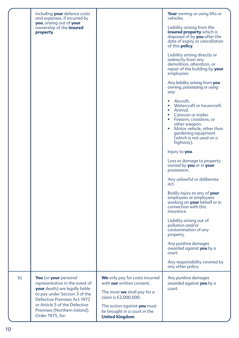|    | Including your defence costs<br>and expenses, if incurred by                                                               |                                                                                       | <b>Your</b> owning or using lifts or<br>vehicles.                                                                                                                                                                                                 |
|----|----------------------------------------------------------------------------------------------------------------------------|---------------------------------------------------------------------------------------|---------------------------------------------------------------------------------------------------------------------------------------------------------------------------------------------------------------------------------------------------|
|    | you, arising out of your<br>ownership of the <b>insured</b><br>property.                                                   |                                                                                       | Liability arising from the<br>insured property which is<br>disposed of by you after the<br>date of expiry or cancellation<br>of this <b>policy</b> .                                                                                              |
|    |                                                                                                                            |                                                                                       | Liability arising directly or<br>indirectly from any<br>demolition, alteration, or<br>repair of the building by your<br>employees.                                                                                                                |
|    |                                                                                                                            |                                                                                       | Any liability arising from <b>you</b><br>owning, possessing or using<br>any:                                                                                                                                                                      |
|    |                                                                                                                            |                                                                                       | Aircraft.<br>٠<br>Watercraft or hovercraft.<br>$\bullet$<br>Animal.<br>• Caravan or trailer.<br>• Firearm, crossbow, or<br>other weapon.<br>Motor vehicle, other than<br>$\bullet$<br>gardening equipment<br>(which is not used on a<br>highway). |
|    |                                                                                                                            |                                                                                       | Injury to <b>you</b> .                                                                                                                                                                                                                            |
|    |                                                                                                                            |                                                                                       | Loss or damage to property<br>owned by <b>you</b> or in <b>your</b><br>possession.                                                                                                                                                                |
|    |                                                                                                                            |                                                                                       | Any unlawful or deliberate<br>act.                                                                                                                                                                                                                |
|    |                                                                                                                            |                                                                                       | Bodily injury to any of your<br>employees or employees<br>working on <b>your</b> behalf or in<br>connection with this<br>insurance.                                                                                                               |
|    |                                                                                                                            |                                                                                       | Liability arising out of<br>pollution and/or<br>contamination of any<br>property.                                                                                                                                                                 |
|    |                                                                                                                            |                                                                                       | Any punitive damages<br>awarded against <b>you</b> by a<br>court.                                                                                                                                                                                 |
|    |                                                                                                                            |                                                                                       | Any responsibility covered by<br>any other policy.                                                                                                                                                                                                |
| b) | You (or your personal<br>representative in the event of<br>your death) are legally liable<br>to pay under Section 3 of the | We only pay for costs incurred<br>with our written consent.                           | Any punitive damages<br>awarded against you by a                                                                                                                                                                                                  |
|    |                                                                                                                            | The most we shall pay for a<br>claim is £2,000,000.                                   | court.                                                                                                                                                                                                                                            |
|    | Defective Premises Act 1972<br>or Article 5 of the Defective<br>Premises (Northern Ireland)<br>Order 1975, for:            | The action against you must<br>be brought in a court in the<br><b>United Kingdom.</b> |                                                                                                                                                                                                                                                   |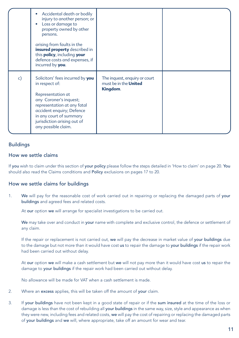|    | Accidental death or bodily<br>injury to another person; or<br>Loss or damage to<br>property owned by other<br>persons.<br>arising from faults in the<br>insured property described in<br>this <i>policy</i> , including your<br>defence costs and expenses, if<br>incurred by you. |                                                                           |  |
|----|------------------------------------------------------------------------------------------------------------------------------------------------------------------------------------------------------------------------------------------------------------------------------------|---------------------------------------------------------------------------|--|
| c) | Solicitors' fees incurred by you<br>in respect of:<br>Representation at<br>any Coroner's inquest;<br>representation at any fatal<br>accident enquiry; Defence<br>in any court of summary<br>jurisdiction arising out of<br>any possible claim.                                     | The inquest, enquiry or court<br>must be in the <b>United</b><br>Kingdom. |  |

#### Buildings

#### How we settle claims

If you wish to claim under this section of your policy please follow the steps detailed in 'How to claim' on page 20. You should also read the Claims conditions and Policy exclusions on pages 17 to 20.

#### How we settle claims for buildings

1. We will pay for the reasonable cost of work carried out in repairing or replacing the damaged parts of your buildings and agreed fees and related costs.

At our option we will arrange for specialist investigations to be carried out.

We may take over and conduct in your name with complete and exclusive control, the defence or settlement of any claim.

If the repair or replacement is not carried out, we will pay the decrease in market value of your buildings due to the damage but not more than it would have cost us to repair the damage to your buildings if the repair work had been carried out without delay.

At our option we will make a cash settlement but we will not pay more than it would have cost us to repair the damage to your buildings if the repair work had been carried out without delay.

No allowance will be made for VAT when a cash settlement is made.

- 2. Where an excess applies, this will be taken off the amount of your claim.
- 3. If your buildings have not been kept in a good state of repair or if the sum insured at the time of the loss or damage is less than the cost of rebuilding all your buildings in the same way, size, style and appearance as when they were new, including fees and related costs, we will pay the cost of repairing or replacing the damaged parts of your buildings and we will, where appropriate, take off an amount for wear and tear.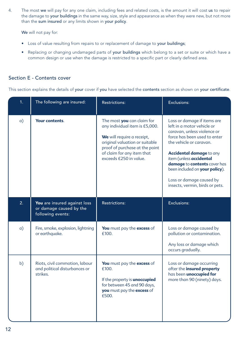4. The most we will pay for any one claim, including fees and related costs, is the amount it will cost us to repair the damage to your buildings in the same way, size, style and appearance as when they were new, but not more than the sum insured or any limits shown in your policy.

We will not pay for:

- Loss of value resulting from repairs to or replacement of damage to your buildings;
- Replacing or changing undamaged parts of your buildings which belong to a set or suite or which have a common design or use when the damage is restricted to a specific part or clearly defined area.

#### Section E - Contents cover

This section explains the details of your cover if you have selected the contents section as shown on your certificate.

| 1.         | The following are insured:                                                   | <b>Restrictions:</b>                                                                                                                                                                                                   | Exclusions:                                                                                                                                                                                                                                                                                                                                        |
|------------|------------------------------------------------------------------------------|------------------------------------------------------------------------------------------------------------------------------------------------------------------------------------------------------------------------|----------------------------------------------------------------------------------------------------------------------------------------------------------------------------------------------------------------------------------------------------------------------------------------------------------------------------------------------------|
| $\alpha$ ) | <b>Your contents.</b>                                                        | The most you can claim for<br>any individual item is £5,000.<br>We will require a receipt,<br>original valuation or suitable<br>proof of purchase at the point<br>of claim for any item that<br>exceeds £250 in value. | Loss or damage if items are<br>left in a motor vehicle or<br>caravan, unless violence or<br>force has been used to enter<br>the vehicle or caravan.<br><b>Accidental damage to any</b><br>item (unless accidental<br>damage to contents cover has<br>been included on your policy).<br>Loss or damage caused by<br>insects, vermin, birds or pets. |
| 2.         | You are insured against loss<br>or damage caused by the<br>following events: | <b>Restrictions:</b>                                                                                                                                                                                                   | Exclusions:                                                                                                                                                                                                                                                                                                                                        |
| $\alpha$ ) | Fire, smoke, explosion, lightning<br>or earthquake.                          | You must pay the excess of<br>£100.                                                                                                                                                                                    | Loss or damage caused by<br>pollution or contamination.<br>Any loss or damage which<br>occurs gradually.                                                                                                                                                                                                                                           |
| b)         | Riots, civil commotion, labour<br>and political disturbances or<br>strikes.  | You must pay the excess of<br>£100.<br>If the property is <b>unoccupied</b><br>for between 45 and 90 days,<br>you must pay the excess of<br>£500.                                                                      | Loss or damage occurring<br>after the insured property<br>has been <i>unoccupied</i> for<br>more than 90 (ninety) days.                                                                                                                                                                                                                            |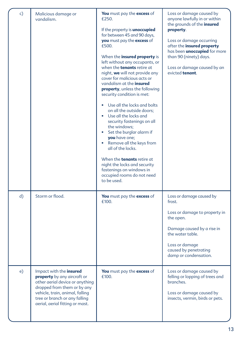| c) | Malicious damage or<br>vandalism.                                                                                                                                                                                               | You must pay the excess of<br>£250.<br>If the property is <b>unoccupied</b><br>for between 45 and 90 days,<br>you must pay the excess of<br>£500.<br>When the insured property is<br>left without any occupants, or<br>when the <b>tenants</b> retire at<br>night, we will not provide any<br>cover for malicious acts or<br>vandalism at the <i>insured</i><br>property, unless the following<br>security condition is met:<br>Use all the locks and bolts<br>on all the outside doors:<br>Use all the locks and<br>security fastenings on all<br>the windows:<br>• Set the burglar alarm if<br>you have one;<br>Remove all the keys from<br>all of the locks.<br>When the <b>tenants</b> retire at<br>night the locks and security<br>fastenings on windows in<br>occupied rooms do not need | Loss or damage caused by<br>anyone lawfully in or within<br>the grounds of the <i>insured</i><br>property.<br>Loss or damage occurring<br>after the insured property<br>has been <b>unoccupied</b> for more<br>than 90 (ninety) days.<br>Loss or damage caused by an<br>evicted tenant. |
|----|---------------------------------------------------------------------------------------------------------------------------------------------------------------------------------------------------------------------------------|------------------------------------------------------------------------------------------------------------------------------------------------------------------------------------------------------------------------------------------------------------------------------------------------------------------------------------------------------------------------------------------------------------------------------------------------------------------------------------------------------------------------------------------------------------------------------------------------------------------------------------------------------------------------------------------------------------------------------------------------------------------------------------------------|-----------------------------------------------------------------------------------------------------------------------------------------------------------------------------------------------------------------------------------------------------------------------------------------|
| d) | Storm or flood.                                                                                                                                                                                                                 | You must pay the excess of<br>£100.                                                                                                                                                                                                                                                                                                                                                                                                                                                                                                                                                                                                                                                                                                                                                            | Loss or damage caused by<br>frost.<br>Loss or damage to property in<br>the open.<br>Damage caused by a rise in<br>the water table.<br>Loss or damage<br>caused by penetrating<br>damp or condensation.                                                                                  |
| e) | Impact with the insured<br>property by any aircraft or<br>other aerial device or anything<br>dropped from them or by any<br>vehicle, train, animal, falling<br>tree or branch or any falling<br>aerial, aerial fitting or mast. | You must pay the excess of<br>f100                                                                                                                                                                                                                                                                                                                                                                                                                                                                                                                                                                                                                                                                                                                                                             | Loss or damage caused by<br>felling or lopping of trees and<br>branches.<br>Loss or damage caused by<br>insects, vermin, birds or pets.                                                                                                                                                 |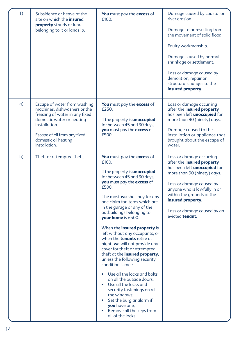| f) | Subsidence or heave of the<br>site on which the <b>insured</b><br><b>property</b> stands or land<br>belonging to it or landslip.                                                                                      | You must pay the excess of<br>£100.                                                                                                                                                                                                                                                                                                                                                                                                                                                                                                                                                                                                                                                                                                                                                                                              | Damage caused by coastal or<br>river erosion.<br>Damage to or resulting from<br>the movement of solid floor.<br>Faulty workmanship.<br>Damage caused by normal<br>shrinkage or settlement.<br>Loss or damage caused by<br>demolition, repair or<br>structural changes to the<br>insured property. |
|----|-----------------------------------------------------------------------------------------------------------------------------------------------------------------------------------------------------------------------|----------------------------------------------------------------------------------------------------------------------------------------------------------------------------------------------------------------------------------------------------------------------------------------------------------------------------------------------------------------------------------------------------------------------------------------------------------------------------------------------------------------------------------------------------------------------------------------------------------------------------------------------------------------------------------------------------------------------------------------------------------------------------------------------------------------------------------|---------------------------------------------------------------------------------------------------------------------------------------------------------------------------------------------------------------------------------------------------------------------------------------------------|
| g) | Escape of water from washing<br>machines, dishwashers or the<br>freezing of water in any fixed<br>domestic water or heating<br>installation.<br>Escape of oil from any fixed<br>domestic oil heating<br>installation. | <b>You</b> must pay the <b>excess</b> of<br>£250.<br>If the property is <b>unoccupied</b><br>for between 45 and 90 days,<br>you must pay the excess of<br>£500.                                                                                                                                                                                                                                                                                                                                                                                                                                                                                                                                                                                                                                                                  | Loss or damage occurring<br>after the insured property<br>has been left <i>unoccupied</i> for<br>more than 90 (ninety) days.<br>Damage caused to the<br>installation or appliance that<br>brought about the escape of<br>water.                                                                   |
| h) | Theft or attempted theft.                                                                                                                                                                                             | You must pay the excess of<br>f100<br>If the property is <b>unoccupied</b><br>for between 45 and 90 days,<br>you must pay the excess of<br>£500.<br>The most we shall pay for any<br>one claim for items which are<br>in the garage or any of the<br>outbuildings belonging to<br>your home is £500.<br>When the insured property is<br>left without any occupants, or<br>when the <b>tenants</b> retire at<br>night, we will not provide any<br>cover for theft or attempted<br>theft at the insured property,<br>unless the following security<br>condition is met:<br>Use all the locks and bolts<br>on all the outside doors:<br>Use all the locks and<br>$\bullet$<br>security fastenings on all<br>the windows;<br>Set the burglar alarm if<br>you have one;<br>Remove all the keys from<br>$\bullet$<br>all of the locks. | Loss or damage occurring<br>after the insured property<br>has been left <i>unoccupied</i> for<br>more than 90 (ninety) days.<br>Loss or damage caused by<br>anyone who is lawfully in or<br>within the grounds of the<br>insured property.<br>Loss or damage caused by an<br>evicted tenant.      |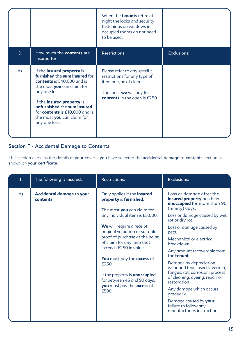|    |                                                                                                                                                                                                                                                                                        | When the <b>tenants</b> retire at<br>night the locks and security<br>fastenings on windows in<br>occupied rooms do not need<br>to be used.                        |             |
|----|----------------------------------------------------------------------------------------------------------------------------------------------------------------------------------------------------------------------------------------------------------------------------------------|-------------------------------------------------------------------------------------------------------------------------------------------------------------------|-------------|
| 3. | How much the <b>contents</b> are<br>insured for:                                                                                                                                                                                                                                       | <b>Restrictions:</b>                                                                                                                                              | Exclusions: |
| a) | If the insured property is<br>furnished the sum insured for<br>contents is £40,000 and is<br>the most you can claim for<br>any one loss.<br>If the insured property is<br>unfurnished the sum insured<br>for contents is £10,000 and is<br>the most you can claim for<br>any one loss. | Please refer to any specific<br>restrictions for any type of<br>item or type of claim.<br>The most <b>we</b> will pay for<br><b>contents</b> in the open is £250. |             |

## Section F - Accidental Damage to Contents

This section explains the details of your cover if you have selected the accidental damage to contents section as shown on your certificate.

| 1 <sub>1</sub> | The following is insured:              | <b>Restrictions:</b>                                                                                                                                                                                                                                                                                                                                                                                                                 | <b>Exclusions:</b>                                                                                                                                                                                                                                                                                                                                                                                                                                                                                                                                                  |
|----------------|----------------------------------------|--------------------------------------------------------------------------------------------------------------------------------------------------------------------------------------------------------------------------------------------------------------------------------------------------------------------------------------------------------------------------------------------------------------------------------------|---------------------------------------------------------------------------------------------------------------------------------------------------------------------------------------------------------------------------------------------------------------------------------------------------------------------------------------------------------------------------------------------------------------------------------------------------------------------------------------------------------------------------------------------------------------------|
| $\alpha$ )     | Accidental damage to your<br>contents. | Only applies if the insured<br>property is furnished.<br>The most you can claim for<br>any individual item is £5,000.<br>We will require a receipt,<br>original valuation or suitable<br>proof of purchase at the point<br>of claim for any item that<br>exceeds £250 in value.<br>You must pay the excess of<br>£250.<br>If the property is <b>unoccupied</b><br>for between 45 and 90 days,<br>you must pay the excess of<br>£500. | Loss or damage after the<br>insured property has been<br>unoccupied for more than 90<br>(ninety) days.<br>Loss or damage caused by wet<br>rot or dry rot.<br>Loss or damage caused by<br>pets.<br>Mechanical or electrical<br>breakdown.<br>Any amount recoverable from<br>the tenant.<br>Damage by depreciation,<br>wear and tear, insects, vermin,<br>fungus, rot, corrosion, process<br>of cleaning, dyeing, repair or<br>restoration.<br>Any damage which occurs<br>gradually.<br>Damage caused by your<br>failure to follow any<br>manufacturers instructions. |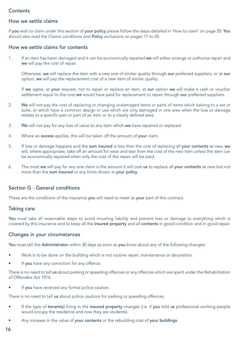#### **Contents**

#### How we settle claims

If you wish to claim under this section of your policy please follow the steps detailed in 'How to claim' on page 20. You should also read the Claims conditions and Policy exclusions on pages 17 to 20.

#### How we settle claims for contents

1. If an item has been damaged and it can be economically repaired we will either arrange or authorise repair and we will pay the cost of repair.

Otherwise, we will replace the item with a new one of similar quality through our preferred suppliers, or at our option, we will pay the replacement cost of a new item of similar quality.

If we agree, at your request, not to repair or replace an item, at our option we will make a cash or voucher settlement equal to the cost we would have paid for replacement or repair through our preferred suppliers.

- 2. We will not pay the cost of replacing or changing undamaged items or parts of items which belong to a set or suite, or which have a common design or use which are only damaged in one area when the loss or damage relates to a specific part or part of an item or to a clearly defined area.
- 3. We will not pay for any loss of value to any item which we have repaired or replaced.
- 4. Where an excess applies, this will be taken off the amount of your claim.
- 5. If loss or damage happens and the sum insured is less than the cost of replacing all your contents as new, we will, where appropriate, take off an amount for wear and tear from the cost of the new item unless the item can be economically repaired when only the cost of the repair will be paid.
- 6. The most we will pay for any one claim is the amount it will cost us to replace all your contents as new but not more than the sum insured or any limits shown in your policy.

#### Section G - General conditions

These are the conditions of the insurance you will need to meet as your part of this contract.

#### Taking care

You must take all reasonable steps to avoid incurring liability and prevent loss or damage to everything which is covered by this insurance and to keep all the insured property and all contents in good condition and in good repair.

#### Changes in your circumstances

You must tell the Administrator within 30 days as soon as you know about any of the following changes:

- Work is to be done on the building which is not routine repair, maintenance or decoration.
- If you have any conviction for any offence.

There is no need to tell us about parking or speeding offences or any offences which are spent under the Rehabilitation of Offenders Act 1974.

If you have received any formal police caution.

There is no need to tell us about police cautions for parking or speeding offences.

- If the type of tenant(s) living in the insured property changes (i.e. if you told us professional working people would occupy the residence and now they are students).
- Any increase in the value of your contents or the rebuilding cost of your buildings.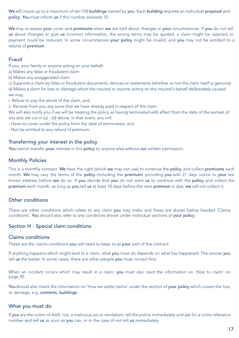We will insure up to a maximum of ten (10) buildings owned by you. Each building requires an individual proposal and policy. You must inform us if this number exceeds 10.

We may re-assess your cover and premiums when we are told about changes in your circumstances. If you do not tell us about changes or give us incorrect information, the wrong terms may be quoted, a claim might be rejected or payment could be reduced. In some circumstances your policy might be invalid, and you may not be entitled to a refund of premium.

#### Fraud

If you, your family or anyone acting on your behalf:

a) Makes any false or fraudulent claim

b) Makes any exaggerated claim

c) Supports a claim by false or fraudulent documents, devices or statements (whether or not the claim itself is genuine) d) Makes a claim for loss or damage which the insured or anyone acting on the insured's behalf deliberately caused we may:

i. Refuse to pay the whole of the claim; and

ii. Recover from you any sums that we have already paid in respect of the claim.

We will also notify you if we will be treating the policy as having terminated with effect from the date of the earliest of any acts set out in (a) - (d) above. In that event, you will:

- Have no cover under the policy from the date of termination; and

- Not be entitled to any refund of premium.

#### Transferring your interest in the policy

You cannot transfer your interest in this policy to anyone else without our written permission.

#### Monthly Policies

This is a monthly contract. We have the right (which we may not use) to continue the policy and collect premiums each month. We may vary the terms of the policy (including the premium) providing you with 21 days notice to your last known address before we do so. If you decide that you do not want us to continue with the policy and collect the premium each month, as long as you tell us at least 10 days before the next premium is due, we will not collect it.

#### Other conditions

There are other conditions which relate to any claim you may make and these are shown below headed 'Claims conditions'. You should also refer to any conditions shown under individual sections of your policy.

#### Section H - Special claim conditions

#### Claims conditions

These are the claims conditions you will need to keep to as your part of the contract.

If anything happens which might lead to a claim, what you must do depends on what has happened. The sooner you tell us the better. In some cases, there are other people you must contact first.

When an incident occurs which may result in a claim, you must also read the information on 'How to claim' on page 20.

You should also check the information on 'How we settle claims' under the section of your policy which covers the loss or damage, e.g. contents, buildings.

#### What you must do

If you are the victim of theft, riot, a malicious act or vandalism, tell the police immediately and ask for a crime reference number and tell us as soon as you can, or in the case of riot tell us immediately.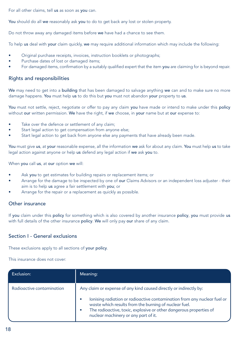For all other claims, tell us as soon as you can.

You should do all we reasonably ask you to do to get back any lost or stolen property.

Do not throw away any damaged items before we have had a chance to see them.

To help us deal with your claim quickly, we may require additional information which may include the following:

- Original purchase receipts, invoices, instruction booklets or photographs;
- Purchase dates of lost or damaged items;
- For damaged items, confirmation by a suitably qualified expert that the item you are claiming for is beyond repair.

#### Rights and responsibilities

We may need to get into a building that has been damaged to salvage anything we can and to make sure no more damage happens. You must help us to do this but you must not abandon your property to us.

You must not settle, reject, negotiate or offer to pay any claim you have made or intend to make under this policy without our written permission. We have the right, if we choose, in your name but at our expense to:

- Take over the defence or settlement of any claim;
- Start legal action to get compensation from anyone else;
- Start legal action to get back from anyone else any payments that have already been made.

You must give us, at your reasonable expense, all the information we ask for about any claim. You must help us to take legal action against anyone or help us defend any legal action if we ask you to.

When you call us, at our option we will:

- Ask you to get estimates for building repairs or replacement items; or
- Arrange for the damage to be inspected by one of our Claims Advisors or an independent loss adjuster their aim is to help us agree a fair settlement with you; or
- Arrange for the repair or a replacement as quickly as possible.

#### Other insurance

If you claim under this policy for something which is also covered by another insurance policy, you must provide us with full details of the other insurance policy. We will only pay our share of any claim.

#### Section I - General exclusions

These exclusions apply to all sections of your policy.

This insurance does not cover:

| Exclusion:                | Meaning:                                                                                                                                                                                                                                                                                                                   |
|---------------------------|----------------------------------------------------------------------------------------------------------------------------------------------------------------------------------------------------------------------------------------------------------------------------------------------------------------------------|
| Radioactive contamination | Any claim or expense of any kind caused directly or indirectly by:<br>lonising radiation or radioactive contamination from any nuclear fuel or<br>waste which results from the burning of nuclear fuel.<br>The radioactive, toxic, explosive or other dangerous properties of<br>٠<br>nuclear machinery or any part of it. |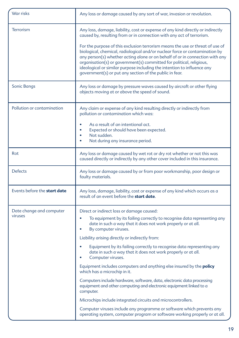| War risks                           | Any loss or damage caused by any sort of war, invasion or revolution.                                                                                                                                                                                                                                                                                                                                                                                                                                                                                                                                                                                                                                                                                                                                                                              |
|-------------------------------------|----------------------------------------------------------------------------------------------------------------------------------------------------------------------------------------------------------------------------------------------------------------------------------------------------------------------------------------------------------------------------------------------------------------------------------------------------------------------------------------------------------------------------------------------------------------------------------------------------------------------------------------------------------------------------------------------------------------------------------------------------------------------------------------------------------------------------------------------------|
| <b>Terrorism</b>                    | Any loss, damage, liability, cost or expense of any kind directly or indirectly<br>caused by, resulting from or in connection with any act of terrorism.<br>For the purpose of this exclusion terrorism means the use or threat of use of<br>biological, chemical, radiological and/or nuclear force or contamination by<br>any person(s) whether acting alone or on behalf of or in connection with any<br>organisation(s) or government(s) committed for political, religious,<br>ideological or similar purpose including the intention to influence any<br>government(s) or put any section of the public in fear.                                                                                                                                                                                                                             |
| Sonic Bangs                         | Any loss or damage by pressure waves caused by aircraft or other flying<br>objects moving at or above the speed of sound.                                                                                                                                                                                                                                                                                                                                                                                                                                                                                                                                                                                                                                                                                                                          |
| Pollution or contamination          | Any claim or expense of any kind resulting directly or indirectly from<br>pollution or contamination which was:<br>As a result of an intentional act.<br>Expected or should have been expected.<br>Not sudden.<br>٠<br>Not during any insurance period.                                                                                                                                                                                                                                                                                                                                                                                                                                                                                                                                                                                            |
| Rot                                 | Any loss or damage caused by wet rot or dry rot whether or not this was<br>caused directly or indirectly by any other cover included in this insurance.                                                                                                                                                                                                                                                                                                                                                                                                                                                                                                                                                                                                                                                                                            |
| <b>Defects</b>                      | Any loss or damage caused by or from poor workmanship, poor design or<br>faulty materials.                                                                                                                                                                                                                                                                                                                                                                                                                                                                                                                                                                                                                                                                                                                                                         |
| Events before the <b>start date</b> | Any loss, damage, liability, cost or expense of any kind which occurs as a<br>result of an event before the start date.                                                                                                                                                                                                                                                                                                                                                                                                                                                                                                                                                                                                                                                                                                                            |
| Date change and computer<br>viruses | Direct or indirect loss or damage caused:<br>To equipment by its failing correctly to recognise data representing any<br>date in such a way that it does not work properly or at all.<br>By computer viruses.<br>Liability arising directly or indirectly from:<br>Equipment by its failing correctly to recognise data representing any<br>date in such a way that it does not work properly or at all.<br>Computer viruses.<br>Equipment includes computers and anything else insured by the <b>policy</b><br>which has a microchip in it.<br>Computers include hardware, software, data, electronic data processing<br>equipment and other computing and electronic equipment linked to a<br>computer.<br>Microchips include integrated circuits and microcontrollers.<br>Computer viruses include any programme or software which prevents any |
|                                     | operating system, computer program or software working properly or at all.                                                                                                                                                                                                                                                                                                                                                                                                                                                                                                                                                                                                                                                                                                                                                                         |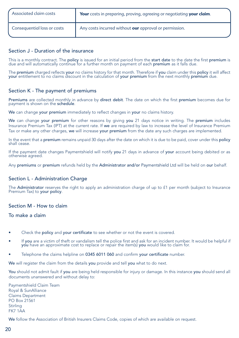| Associated claim costs      | Your costs in preparing, proving, agreeing or negotiating your claim. |
|-----------------------------|-----------------------------------------------------------------------|
| Consequential loss or costs | Any costs incurred without our approval or permission.                |

#### Section J - Duration of the insurance

This is a monthly contract. The policy is issued for an initial period from the start date to the date the first premium is due and will automatically continue for a further month on payment of each premium as it falls due.

The premium charged reflects your no claims history for that month. Therefore if you claim under this policy it will affect your entitlement to no claims discount in the calculation of your premium from the next monthly premium due.

#### Section K - The payment of premiums

Premiums are collected monthly in advance by direct debit. The date on which the first premium becomes due for payment is shown on the schedule.

We can change your premium immediately to reflect changes in your no claims history.

We can change your premium for other reasons by giving you 21 days notice in writing. The premium includes Insurance Premium Tax (IPT) at the current rate. If we are required by law to increase the level of Insurance Premium Tax or make any other charges, we will increase your premium from the date any such charges are implemented.

In the event that a premium remains unpaid 30 days after the date on which it is due to be paid, cover under this policy shall cease.

If the payment date changes Paymentshield will notify you 21 days in advance of your account being debited or as otherwise agreed.

Any premiums or premium refunds held by the Administrator and/or Paymentshield Ltd will be held on our behalf.

#### Section L - Administration Charge

The Administrator reserves the right to apply an administration charge of up to £1 per month (subject to Insurance Premium Tax) to your policy.

#### Section M - How to claim

#### To make a claim

- Check the policy and your certificate to see whether or not the event is covered.
- If you are a victim of theft or vandalism tell the police first and ask for an incident number. It would be helpful if you have an approximate cost to replace or repair the item(s) you would like to claim for.
- Telephone the claims helpline on 0345 6011 060 and confirm your certificate number.

We will register the claim from the details you provide and tell you what to do next.

You should not admit fault if you are being held responsible for injury or damage. In this instance you should send all documents unanswered and without delay to:

Paymentshield Claim Team Royal & SunAlliance Claims Department PO Box 21561 **Stirling** FK7 1AA

We follow the Association of British Insurers Claims Code, copies of which are available on request.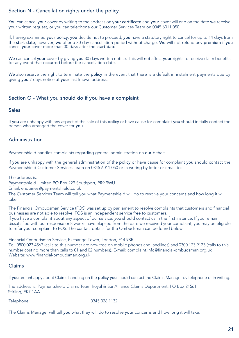#### Section N - Cancellation rights under the policy

You can cancel your cover by writing to the address on your certificate and your cover will end on the date we receive your written request, or you can telephone our Customer Services Team on 0345 6011 050.

If, having examined your policy, you decide not to proceed, you have a statutory right to cancel for up to 14 days from the start date, however, we offer a 30 day cancellation period without charge. We will not refund any premium if you cancel your cover more than 30 days after the start date.

We can cancel your cover by giving you 30 days written notice. This will not affect your rights to receive claim benefits for any event that occurred before the cancellation date.

We also reserve the right to terminate the policy in the event that there is a default in instalment payments due by giving you 7 days notice at your last known address.

#### Section O - What you should do if you have a complaint

#### Sales

If you are unhappy with any aspect of the sale of this policy or have cause for complaint you should initially contact the person who arranged the cover for you.

#### Administration

Paymentshield handles complaints regarding general administration on our behalf.

If you are unhappy with the general administration of the policy or have cause for complaint you should contact the Paymentshield Customer Services Team on 0345 6011 050 or in writing by letter or email to:

The address is:

Paymentshield Limited PO Box 229 Southport, PR9 9WU

Email: enquiries@paymentshield.co.uk

The Customer Services Team will tell you what Paymentshield will do to resolve your concerns and how long it will take.

The Financial Ombudsman Service (FOS) was set up by parliament to resolve complaints that customers and financial businesses are not able to resolve. FOS is an independent service free to customers. If you have a complaint about any aspect of our service, you should contact us in the first instance. If you remain dissatisfied with our response or 8 weeks have elapsed from the date we received your complaint, you may be eligible to refer your complaint to FOS. The contact details for the Ombudsman can be found below:

Financial Ombudsman Service, Exchange Tower, London, E14 9SR Tel: 0800 023 4567 (calls to this number are now free on mobile phones and landlines) and 0300 123 9123 (calls to this number cost no more than calls to 01 and 02 numbers). E-mail: complaint.info@financial-ombudsman.org.uk Website: www.financial-ombudsman.org.uk

#### Claims

If you are unhappy about Claims handling on the policy you should contact the Claims Manager by telephone or in writing.

The address is: Paymentshield Claims Team Royal & SunAlliance Claims Department, PO Box 21561, Stirling, FK7 1AA

Telephone: 0345 026 1132

The Claims Manager will tell you what they will do to resolve your concerns and how long it will take.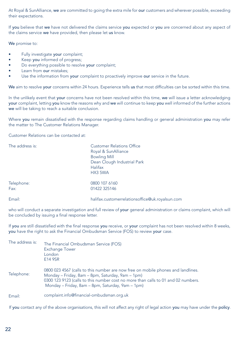At Royal & SunAlliance, we are committed to going the extra mile for our customers and wherever possible, exceeding their expectations.

If you believe that we have not delivered the claims service you expected or you are concerned about any aspect of the claims service we have provided, then please let us know.

We promise to:

- Fully investigate your complaint;
- Keep you informed of progress;
- Do everything possible to resolve your complaint;
- Learn from our mistakes:
- Use the information from **your** complaint to proactively improve our service in the future.

We aim to resolve your concerns within 24 hours. Experience tells us that most difficulties can be sorted within this time.

In the unlikely event that your concerns have not been resolved within this time, we will issue a letter acknowledging your complaint, letting you know the reasons why and we will continue to keep you well informed of the further actions we will be taking to reach a suitable conclusion.

Where you remain dissatisfied with the response regarding claims handling or general administration you may refer the matter to The Customer Relations Manager.

Customer Relations can be contacted at:

| The address is:    | <b>Customer Relations Office</b><br>Royal & SunAlliance<br><b>Bowling Mill</b><br>Dean Clough Industrial Park<br><b>Halifax</b><br>HX3 5WA |
|--------------------|--------------------------------------------------------------------------------------------------------------------------------------------|
| Telephone:<br>Fax: | 0800 107 6160<br>01422 325146                                                                                                              |
| Email:             | halifax.customerrelationsoffice@uk.royalsun.com                                                                                            |

who will conduct a separate investigation and full review of your general administration or claims complaint, which will be concluded by issuing a final response letter.

If you are still dissatisfied with the final response you receive, or your complaint has not been resolved within 8 weeks, you have the right to ask the Financial Ombudsman Service (FOS) to review your case.

| The address is: | The Financial Ombudsman Service (FOS)<br><b>Exchange Tower</b><br>London<br>E14 9SR                                                                                                                                                                                           |
|-----------------|-------------------------------------------------------------------------------------------------------------------------------------------------------------------------------------------------------------------------------------------------------------------------------|
| Telephone:      | 0800 023 4567 (calls to this number are now free on mobile phones and landlines.<br>Monday – Friday, 8am – 8pm, Saturday, 9am – 1pm)<br>0300 123 9123 (calls to this number cost no more than calls to 01 and 02 numbers.<br>Monday - Friday, 8am - 8pm, Saturday, 9am - 1pm) |
| Email:          | complaint.info@financial-ombudsman.org.uk                                                                                                                                                                                                                                     |

If you contact any of the above organisations, this will not affect any right of legal action you may have under the policy.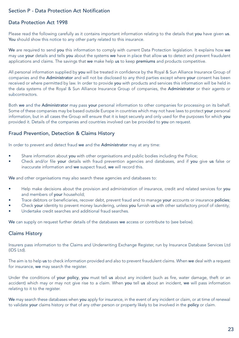#### Section P - Data Protection Act Notification

#### Data Protection Act 1998

Please read the following carefully as it contains important information relating to the details that you have given us. You should show this notice to any other party related to this insurance.

We are required to send you this information to comply with current Data Protection legislation. It explains how we may use your details and tells you about the systems we have in place that allow us to detect and prevent fraudulent applications and claims. The savings that we make help us to keep premiums and products competitive.

All personal information supplied by you will be treated in confidence by the Royal & Sun Alliance Insurance Group of companies and the Administrator and will not be disclosed to any third parties except where your consent has been received or where permitted by law. In order to provide you with products and services this information will be held in the data systems of the Royal & Sun Alliance Insurance Group of companies, the Administrator or their agents or subcontractors.

Both we and the Administrator may pass your personal information to other companies for processing on its behalf. Some of these companies may be based outside Europe in countries which may not have laws to protect your personal information, but in all cases the Group will ensure that it is kept securely and only used for the purposes for which you provided it. Details of the companies and countries involved can be provided to you on request.

#### Fraud Prevention, Detection & Claims History

In order to prevent and detect fraud we and the Administrator may at any time:

- Share information about you with other organisations and public bodies including the Police;
- Check and/or file your details with fraud prevention agencies and databases, and if you give us false or inaccurate information and we suspect fraud, we will record this.

We and other organisations may also search these agencies and databases to:

- Help make decisions about the provision and administration of insurance, credit and related services for you and members of your household;
- Trace debtors or beneficiaries, recover debt, prevent fraud and to manage your accounts or insurance policies;
- Check your identity to prevent money laundering, unless you furnish us with other satisfactory proof of identity;
- Undertake credit searches and additional fraud searches.

We can supply on request further details of the databases we access or contribute to (see below).

#### Claims History

Insurers pass information to the Claims and Underwriting Exchange Register, run by Insurance Database Services Ltd (IDS Ltd).

The aim is to help us to check information provided and also to prevent fraudulent claims. When we deal with a request for insurance, we may search the register.

Under the conditions of your policy, you must tell us about any incident (such as fire, water damage, theft or an accident) which may or may not give rise to a claim. When you tell us about an incident, we will pass information relating to it to the register.

We may search these databases when you apply for insurance, in the event of any incident or claim, or at time of renewal to validate your claims history or that of any other person or property likely to be involved in the policy or claim.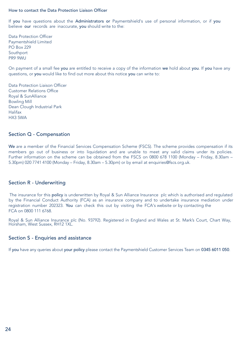#### How to contact the Data Protection Liaison Officer

If you have questions about the Administrators or Paymentshield's use of personal information, or if you believe our records are inaccurate, you should write to the:

Data Protection Officer Paymentshield Limited PO Box 229 Southport PR9 9WU

On payment of a small fee you are entitled to receive a copy of the information we hold about you. If you have any questions, or you would like to find out more about this notice you can write to:

Data Protection Liaison Officer Customer Relations Office Royal & SunAlliance Bowling Mill Dean Clough Industrial Park Halifax HX3 5WA

#### Section Q - Compensation

We are a member of the Financial Services Compensation Scheme (FSCS). The scheme provides compensation if its members go out of business or into liquidation and are unable to meet any valid claims under its policies. Further information on the scheme can be obtained from the FSCS on 0800 678 1100 (Monday – Friday, 8.30am – 5.30pm) 020 7741 4100 (Monday – Friday, 8.30am – 5.30pm) or by email at enquiries@fscs.org.uk.

#### Section R - Underwriting

The insurance for this policy is underwritten by Royal & Sun Alliance Insurance plc which is authorised and regulated by the Financial Conduct Authority (FCA) as an insurance company and to undertake insurance mediation under registration number 202323. You can check this out by visiting the FCA's website or by contacting the FCA on 0800 111 6768.

Royal & Sun Alliance Insurance plc (No. 93792). Registered in England and Wales at St. Mark's Court, Chart Way, Horsham, West Sussex, RH12 1XL.

#### Section S - Enquiries and assistance

If you have any queries about your policy please contact the Paymentshield Customer Services Team on 0345 6011 050.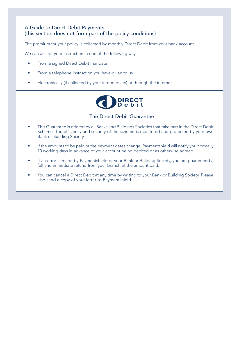#### A Guide to Direct Debit Payments (this section does not form part of the policy conditions)

The premium for your policy is collected by monthly Direct Debit from your bank account.

We can accept your instruction in one of the following ways:

- From a signed Direct Debit mandate
- From a telephone instruction you have given to us
- Electronically (if collected by your intermediary) or through the internet



#### The Direct Debit Guarantee

- This Guarantee is offered by all Banks and Buildings Societies that take part in the Direct Debit Scheme. The efficiency and security of the scheme is monitored and protected by your own Bank or Building Society.
- If the amounts to be paid or the payment dates change, Paymentshield will notify you normally 10 working days in advance of your account being debited or as otherwise agreed.
- If an error is made by Paymentshield or your Bank or Building Society, you are guaranteed a full and immediate refund from your branch of the amount paid.
- You can cancel a Direct Debit at any time by writing to your Bank or Building Society. Please also send a copy of your letter to Paymentshield.